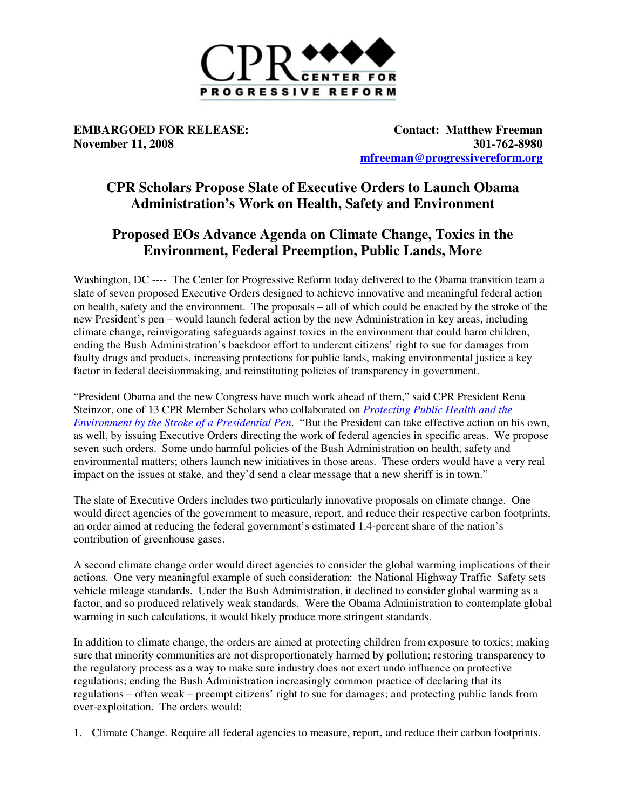

**EMBARGOED FOR RELEASE:** Contact: Matthew Freeman **November 11, 2008** 301-762-8980 **mfreeman@progressivereform.org**

## **CPR Scholars Propose Slate of Executive Orders to Launch Obama Administration's Work on Health, Safety and Environment**

## **Proposed EOs Advance Agenda on Climate Change, Toxics in the Environment, Federal Preemption, Public Lands, More**

Washington, DC ---- The Center for Progressive Reform today delivered to the Obama transition team a slate of seven proposed Executive Orders designed to achieve innovative and meaningful federal action on health, safety and the environment. The proposals – all of which could be enacted by the stroke of the new President's pen – would launch federal action by the new Administration in key areas, including climate change, reinvigorating safeguards against toxics in the environment that could harm children, ending the Bush Administration's backdoor effort to undercut citizens' right to sue for damages from faulty drugs and products, increasing protections for public lands, making environmental justice a key factor in federal decisionmaking, and reinstituting policies of transparency in government.

"President Obama and the new Congress have much work ahead of them," said CPR President Rena Steinzor, one of 13 CPR Member Scholars who collaborated on *Protecting Public Health and the Environment by the Stroke of a Presidential Pen*. "But the President can take effective action on his own, as well, by issuing Executive Orders directing the work of federal agencies in specific areas. We propose seven such orders. Some undo harmful policies of the Bush Administration on health, safety and environmental matters; others launch new initiatives in those areas. These orders would have a very real impact on the issues at stake, and they'd send a clear message that a new sheriff is in town."

The slate of Executive Orders includes two particularly innovative proposals on climate change. One would direct agencies of the government to measure, report, and reduce their respective carbon footprints, an order aimed at reducing the federal government's estimated 1.4-percent share of the nation's contribution of greenhouse gases.

A second climate change order would direct agencies to consider the global warming implications of their actions. One very meaningful example of such consideration: the National Highway Traffic Safety sets vehicle mileage standards. Under the Bush Administration, it declined to consider global warming as a factor, and so produced relatively weak standards. Were the Obama Administration to contemplate global warming in such calculations, it would likely produce more stringent standards.

In addition to climate change, the orders are aimed at protecting children from exposure to toxics; making sure that minority communities are not disproportionately harmed by pollution; restoring transparency to the regulatory process as a way to make sure industry does not exert undo influence on protective regulations; ending the Bush Administration increasingly common practice of declaring that its regulations – often weak – preempt citizens' right to sue for damages; and protecting public lands from over-exploitation. The orders would:

1. Climate Change. Require all federal agencies to measure, report, and reduce their carbon footprints.